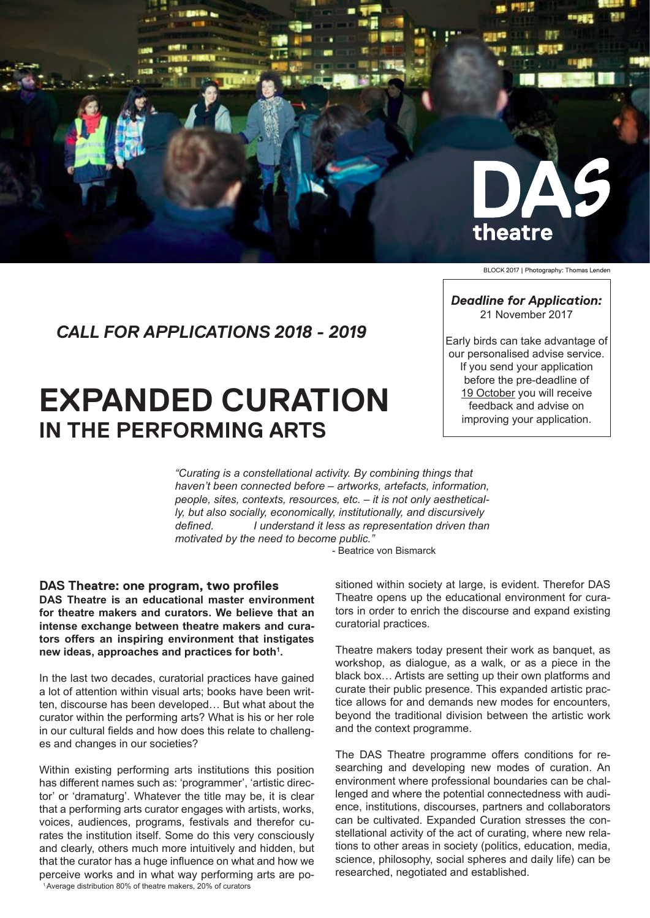

BLOCK 2017 | Photography: Thomas Lenden

## *CALL FOR APPLICATIONS 2018 - 2019*

# **EXPANDED CURATION IN THE PERFORMING ARTS**

*Deadline for Application:* 21 November 2017

Early birds can take advantage of our personalised advise service. If you send your application before the pre-deadline of 19 October you will receive feedback and advise on improving your application.

*"Curating is a constellational activity. By combining things that haven't been connected before – artworks, artefacts, information, people, sites, contexts, resources, etc. – it is not only aesthetically, but also socially, economically, institutionally, and discursively defined. I understand it less as representation driven than motivated by the need to become public."* 

- Beatrice von Bismarck

#### **DAS Theatre: one program, two profiles**

**DAS Theatre is an educational master environment for theatre makers and curators. We believe that an intense exchange between theatre makers and curators offers an inspiring environment that instigates new ideas, approaches and practices for both1 .** 

In the last two decades, curatorial practices have gained a lot of attention within visual arts; books have been written, discourse has been developed… But what about the curator within the performing arts? What is his or her role in our cultural fields and how does this relate to challenges and changes in our societies?

Within existing performing arts institutions this position has different names such as: 'programmer', 'artistic director' or 'dramaturg'. Whatever the title may be, it is clear that a performing arts curator engages with artists, works, voices, audiences, programs, festivals and therefor curates the institution itself. Some do this very consciously and clearly, others much more intuitively and hidden, but that the curator has a huge influence on what and how we perceive works and in what way performing arts are positioned within society at large, is evident. Therefor DAS Theatre opens up the educational environment for curators in order to enrich the discourse and expand existing curatorial practices.

Theatre makers today present their work as banquet, as workshop, as dialogue, as a walk, or as a piece in the black box… Artists are setting up their own platforms and curate their public presence. This expanded artistic practice allows for and demands new modes for encounters, beyond the traditional division between the artistic work and the context programme.

The DAS Theatre programme offers conditions for researching and developing new modes of curation. An environment where professional boundaries can be challenged and where the potential connectedness with audience, institutions, discourses, partners and collaborators can be cultivated. Expanded Curation stresses the constellational activity of the act of curating, where new relations to other areas in society (politics, education, media, science, philosophy, social spheres and daily life) can be researched, negotiated and established.

1.Average distribution 80% of theatre makers, 20% of curators